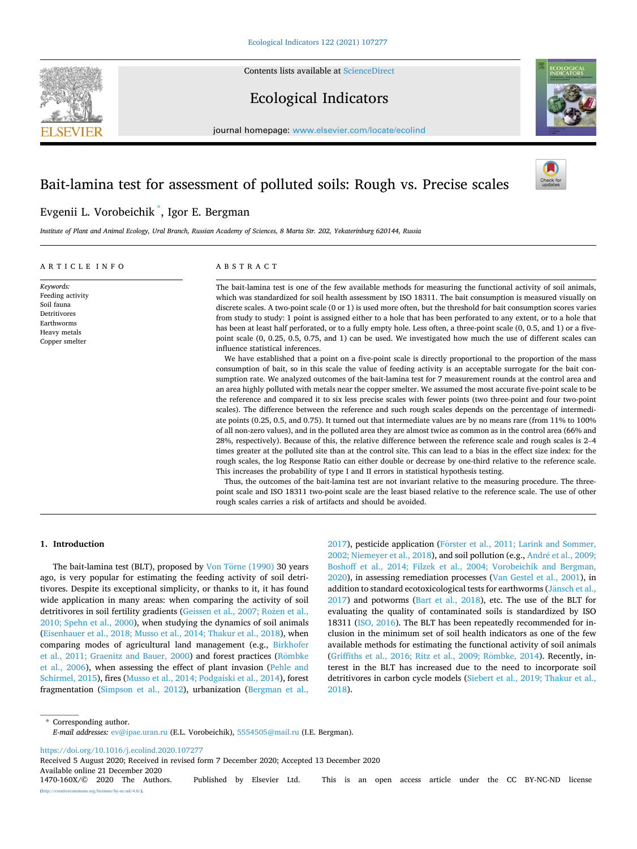Contents lists available at [ScienceDirect](www.sciencedirect.com/science/journal/1470160X)



# Ecological Indicators



journal homepage: [www.elsevier.com/locate/ecolind](https://www.elsevier.com/locate/ecolind)

# Bait-lamina test for assessment of polluted soils: Rough vs. Precise scales



# Evgenii L. Vorobeichik \* , Igor E. Bergman

*Institute of Plant and Animal Ecology, Ural Branch, Russian Academy of Sciences, 8 Marta Str. 202, Yekaterinburg 620144, Russia* 

# ARTICLE INFO

*Keywords:* 

Soil fauna

Earthworms Heavy metals Copper smelter

Feeding activity Detritivores

ABSTRACT

The bait-lamina test is one of the few available methods for measuring the functional activity of soil animals, which was standardized for soil health assessment by ISO 18311. The bait consumption is measured visually on discrete scales. A two-point scale (0 or 1) is used more often, but the threshold for bait consumption scores varies from study to study: 1 point is assigned either to a hole that has been perforated to any extent, or to a hole that has been at least half perforated, or to a fully empty hole. Less often, a three-point scale (0, 0.5, and 1) or a fivepoint scale (0, 0.25, 0.5, 0.75, and 1) can be used. We investigated how much the use of different scales can influence statistical inferences.

We have established that a point on a five-point scale is directly proportional to the proportion of the mass consumption of bait, so in this scale the value of feeding activity is an acceptable surrogate for the bait consumption rate. We analyzed outcomes of the bait-lamina test for 7 measurement rounds at the control area and an area highly polluted with metals near the copper smelter. We assumed the most accurate five-point scale to be the reference and compared it to six less precise scales with fewer points (two three-point and four two-point scales). The difference between the reference and such rough scales depends on the percentage of intermediate points (0.25, 0.5, and 0.75). It turned out that intermediate values are by no means rare (from 11% to 100% of all non-zero values), and in the polluted area they are almost twice as common as in the control area (66% and 28%, respectively). Because of this, the relative difference between the reference scale and rough scales is 2–4 times greater at the polluted site than at the control site. This can lead to a bias in the effect size index: for the rough scales, the log Response Ratio can either double or decrease by one-third relative to the reference scale. This increases the probability of type I and II errors in statistical hypothesis testing.

Thus, the outcomes of the bait-lamina test are not invariant relative to the measuring procedure. The threepoint scale and ISO 18311 two-point scale are the least biased relative to the reference scale. The use of other rough scales carries a risk of artifacts and should be avoided.

# **1. Introduction**

The bait-lamina test (BLT), proposed by Von Törne (1990) 30 years ago, is very popular for estimating the feeding activity of soil detritivores. Despite its exceptional simplicity, or thanks to it, it has found wide application in many areas: when comparing the activity of soil detritivores in soil fertility gradients [\(Geissen et al., 2007; Rozen](#page-9-0) et al., [2010; Spehn et al., 2000](#page-9-0)), when studying the dynamics of soil animals ([Eisenhauer et al., 2018; Musso et al., 2014; Thakur et al., 2018](#page-9-0)), when comparing modes of agricultural land management (e.g., [Birkhofer](#page-9-0)  [et al., 2011; Graenitz and Bauer, 2000](#page-9-0)) and forest practices (Römbke [et al., 2006](#page-9-0)), when assessing the effect of plant invasion ([Pehle and](#page-9-0)  [Schirmel, 2015\)](#page-9-0), fires [\(Musso et al., 2014; Podgaiski et al., 2014\)](#page-9-0), forest fragmentation [\(Simpson et al., 2012](#page-9-0)), urbanization [\(Bergman et al.,](#page-9-0) 

[2017\)](#page-9-0), pesticide application (Förster et al., 2011; Larink and Sommer, [2002; Niemeyer et al., 2018\)](#page-9-0), and soil pollution (e.g., André et al., 2009; [Boshoff et al., 2014; Filzek et al., 2004; Vorobeichik and Bergman,](#page-8-0)  [2020\)](#page-8-0), in assessing remediation processes ([Van Gestel et al., 2001\)](#page-9-0), in addition to standard ecotoxicological tests for earthworms (Jänsch et al., [2017\)](#page-9-0) and potworms ([Bart et al., 2018](#page-8-0)), etc. The use of the BLT for evaluating the quality of contaminated soils is standardized by ISO 18311 ([ISO, 2016\)](#page-9-0). The BLT has been repeatedly recommended for inclusion in the minimum set of soil health indicators as one of the few available methods for estimating the functional activity of soil animals (Griffiths et al., 2016; Ritz et al., 2009; Römbke, 2014). Recently, interest in the BLT has increased due to the need to incorporate soil detritivores in carbon cycle models [\(Siebert et al., 2019; Thakur et al.,](#page-9-0)  [2018\)](#page-9-0).

\* Corresponding author. *E-mail addresses:* [ev@ipae.uran.ru](mailto:ev@ipae.uran.ru) (E.L. Vorobeichik), [5554505@mail.ru](mailto:5554505@mail.ru) (I.E. Bergman).

<https://doi.org/10.1016/j.ecolind.2020.107277>

Available online 21 December 2020<br>1470-160X/© 2020 The Authors. Published by Elsevier Ltd. This is an open access article under the CC BY-NC-ND license  $rac{-nd}{4.0}$ . Received 5 August 2020; Received in revised form 7 December 2020; Accepted 13 December 2020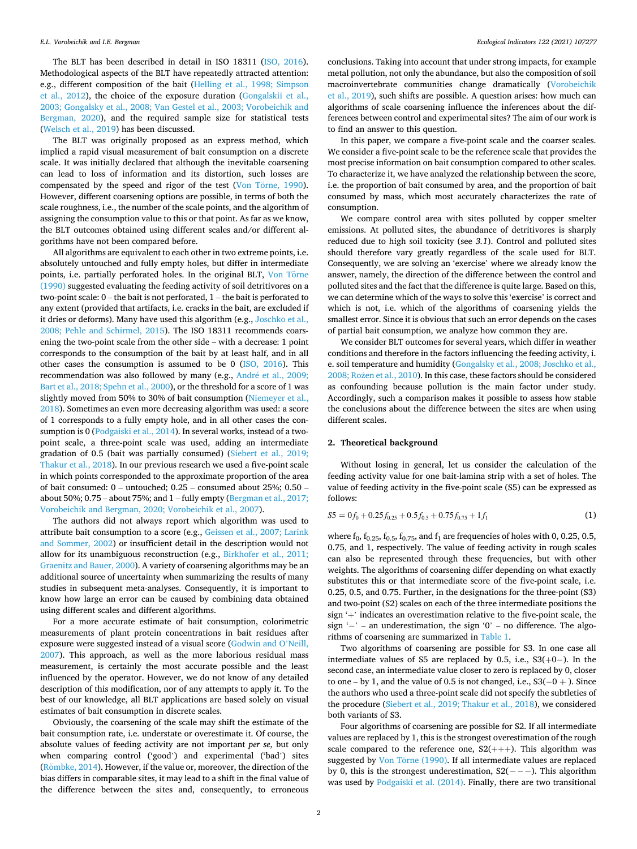<span id="page-1-0"></span>The BLT has been described in detail in ISO 18311 [\(ISO, 2016](#page-9-0)). Methodological aspects of the BLT have repeatedly attracted attention: e.g., different composition of the bait ([Helling et al., 1998; Simpson](#page-9-0)  [et al., 2012](#page-9-0)), the choice of the exposure duration ([Gongalskii et al.,](#page-9-0)  [2003; Gongalsky et al., 2008; Van Gestel et al., 2003; Vorobeichik and](#page-9-0)  [Bergman, 2020\)](#page-9-0), and the required sample size for statistical tests ([Welsch et al., 2019](#page-9-0)) has been discussed.

The BLT was originally proposed as an express method, which implied a rapid visual measurement of bait consumption on a discrete scale. It was initially declared that although the inevitable coarsening can lead to loss of information and its distortion, such losses are compensated by the speed and rigor of the test (Von Törne, 1990). However, different coarsening options are possible, in terms of both the scale roughness, i.e., the number of the scale points, and the algorithm of assigning the consumption value to this or that point. As far as we know, the BLT outcomes obtained using different scales and/or different algorithms have not been compared before.

All algorithms are equivalent to each other in two extreme points, i.e. absolutely untouched and fully empty holes, but differ in intermediate points, i.e. partially perforated holes. In the original BLT, Von Torne [\(1990\)](#page-9-0) suggested evaluating the feeding activity of soil detritivores on a two-point scale: 0 – the bait is not perforated, 1 – the bait is perforated to any extent (provided that artifacts, i.e. cracks in the bait, are excluded if it dries or deforms). Many have used this algorithm (e.g., [Joschko et al.,](#page-9-0)  [2008; Pehle and Schirmel, 2015\)](#page-9-0). The ISO 18311 recommends coarsening the two-point scale from the other side – with a decrease: 1 point corresponds to the consumption of the bait by at least half, and in all other cases the consumption is assumed to be 0 [\(ISO, 2016](#page-9-0)). This recommendation was also followed by many (e.g., André et al., 2009; [Bart et al., 2018; Spehn et al., 2000\)](#page-8-0), or the threshold for a score of 1 was slightly moved from 50% to 30% of bait consumption ([Niemeyer et al.,](#page-9-0)  [2018\)](#page-9-0). Sometimes an even more decreasing algorithm was used: a score of 1 corresponds to a fully empty hole, and in all other cases the consumption is 0 ([Podgaiski et al., 2014\)](#page-9-0). In several works, instead of a twopoint scale, a three-point scale was used, adding an intermediate gradation of 0.5 (bait was partially consumed) ([Siebert et al., 2019;](#page-9-0)  [Thakur et al., 2018\)](#page-9-0). In our previous research we used a five-point scale in which points corresponded to the approximate proportion of the area of bait consumed: 0 – untouched; 0.25 – consumed about 25%; 0.50 – about 50%;  $0.75$  – about 75%; and  $1$  – fully empty (Bergman et al.,  $2017$ ; [Vorobeichik and Bergman, 2020; Vorobeichik et al., 2007](#page-9-0)).

The authors did not always report which algorithm was used to attribute bait consumption to a score (e.g., [Geissen et al., 2007; Larink](#page-9-0)  [and Sommer, 2002\)](#page-9-0) or insufficient detail in the description would not allow for its unambiguous reconstruction (e.g., [Birkhofer et al., 2011;](#page-9-0)  [Graenitz and Bauer, 2000](#page-9-0)). A variety of coarsening algorithms may be an additional source of uncertainty when summarizing the results of many studies in subsequent meta-analyses. Consequently, it is important to know how large an error can be caused by combining data obtained using different scales and different algorithms.

For a more accurate estimate of bait consumption, colorimetric measurements of plant protein concentrations in bait residues after exposure were suggested instead of a visual score [\(Godwin and O](#page-9-0)'Neill, [2007\)](#page-9-0). This approach, as well as the more laborious residual mass measurement, is certainly the most accurate possible and the least influenced by the operator. However, we do not know of any detailed description of this modification, nor of any attempts to apply it. To the best of our knowledge, all BLT applications are based solely on visual estimates of bait consumption in discrete scales.

Obviously, the coarsening of the scale may shift the estimate of the bait consumption rate, i.e. understate or overestimate it. Of course, the absolute values of feeding activity are not important *per se*, but only when comparing control ('good') and experimental ('bad') sites (Römbke, 2014). However, if the value or, moreover, the direction of the bias differs in comparable sites, it may lead to a shift in the final value of the difference between the sites and, consequently, to erroneous

conclusions. Taking into account that under strong impacts, for example metal pollution, not only the abundance, but also the composition of soil macroinvertebrate communities change dramatically ([Vorobeichik](#page-9-0)  [et al., 2019\)](#page-9-0), such shifts are possible. A question arises: how much can algorithms of scale coarsening influence the inferences about the differences between control and experimental sites? The aim of our work is to find an answer to this question.

In this paper, we compare a five-point scale and the coarser scales. We consider a five-point scale to be the reference scale that provides the most precise information on bait consumption compared to other scales. To characterize it, we have analyzed the relationship between the score, i.e. the proportion of bait consumed by area, and the proportion of bait consumed by mass, which most accurately characterizes the rate of consumption.

We compare control area with sites polluted by copper smelter emissions. At polluted sites, the abundance of detritivores is sharply reduced due to high soil toxicity (see *3.1*). Control and polluted sites should therefore vary greatly regardless of the scale used for BLT. Consequently, we are solving an 'exercise' where we already know the answer, namely, the direction of the difference between the control and polluted sites and the fact that the difference is quite large. Based on this, we can determine which of the ways to solve this 'exercise' is correct and which is not, i.e. which of the algorithms of coarsening yields the smallest error. Since it is obvious that such an error depends on the cases of partial bait consumption, we analyze how common they are.

We consider BLT outcomes for several years, which differ in weather conditions and therefore in the factors influencing the feeding activity, i. e. soil temperature and humidity [\(Gongalsky et al., 2008; Joschko et al.,](#page-9-0)  [2008; Rozen](#page-9-0) et al., 2010). In this case, these factors should be considered as confounding because pollution is the main factor under study. Accordingly, such a comparison makes it possible to assess how stable the conclusions about the difference between the sites are when using different scales.

#### **2. Theoretical background**

Without losing in general, let us consider the calculation of the feeding activity value for one bait-lamina strip with a set of holes. The value of feeding activity in the five-point scale (S5) can be expressed as follows:

$$
S5 = 0f_0 + 0.25f_{0.25} + 0.5f_{0.5} + 0.75f_{0.75} + 1f_1
$$
 (1)

where  $f_0$ ,  $f_{0.25}$ ,  $f_{0.5}$ ,  $f_{0.75}$ , and  $f_1$  are frequencies of holes with 0, 0.25, 0.5, 0.75, and 1, respectively. The value of feeding activity in rough scales can also be represented through these frequencies, but with other weights. The algorithms of coarsening differ depending on what exactly substitutes this or that intermediate score of the five-point scale, i.e. 0.25, 0.5, and 0.75. Further, in the designations for the three-point (S3) and two-point (S2) scales on each of the three intermediate positions the sign '+' indicates an overestimation relative to the five-point scale, the sign '−' – an underestimation, the sign '0' – no difference. The algorithms of coarsening are summarized in [Table 1.](#page-2-0)

Two algorithms of coarsening are possible for S3. In one case all intermediate values of S5 are replaced by 0.5, i.e., S3(+0− ). In the second case, an intermediate value closer to zero is replaced by 0, closer to one – by 1, and the value of 0.5 is not changed, i.e.,  $S3(-0 +)$ . Since the authors who used a three-point scale did not specify the subtleties of the procedure ([Siebert et al., 2019; Thakur et al., 2018\)](#page-9-0), we considered both variants of S3.

Four algorithms of coarsening are possible for S2. If all intermediate values are replaced by 1, this is the strongest overestimation of the rough scale compared to the reference one,  $S2(++)$ . This algorithm was suggested by Von Törne (1990). If all intermediate values are replaced by 0, this is the strongest underestimation,  $S2(- - -)$ . This algorithm was used by [Podgaiski et al. \(2014\)](#page-9-0). Finally, there are two transitional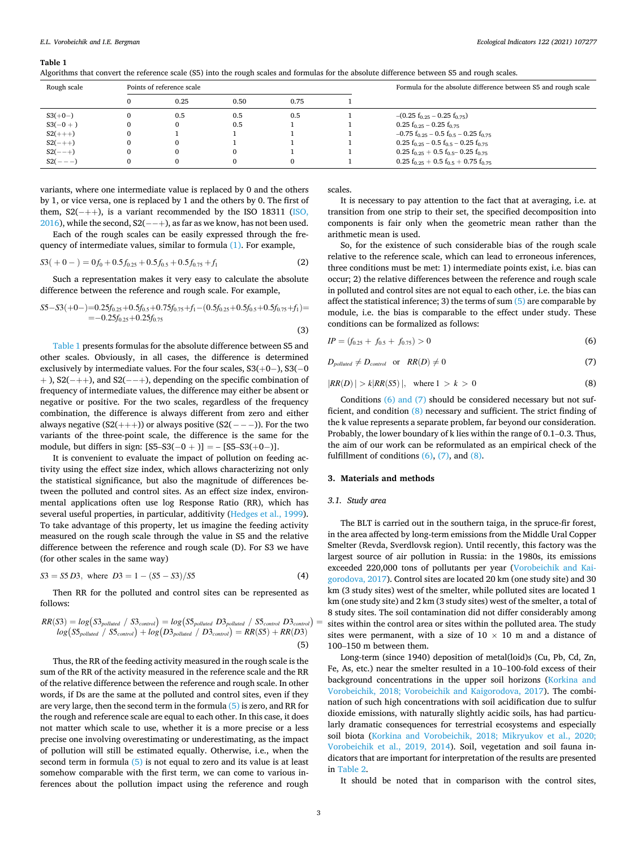#### <span id="page-2-0"></span>**Table 1**

Algorithms that convert the reference scale (S5) into the rough scales and formulas for the absolute difference between S5 and rough scales.

| Rough scale | Points of reference scale |      |      | Formula for the absolute difference between S5 and rough scale            |
|-------------|---------------------------|------|------|---------------------------------------------------------------------------|
|             | 0.25                      | 0.50 | 0.75 |                                                                           |
| $S3(+0-)$   | 0.5                       | 0.5  | 0.5  | $-(0.25 f0.25 - 0.25 f0.75)$                                              |
| $S3(-0+)$   |                           | 0.5  |      | $0.25 f_{0.25} - 0.25 f_{0.75}$                                           |
| $S2(++)$    |                           |      |      | $-0.75$ f <sub>0.25</sub> – 0.5 f <sub>0.5</sub> – 0.25 f <sub>0.75</sub> |
| $S2(-++)$   |                           |      |      | $0.25 f_{0.25} - 0.5 f_{0.5} - 0.25 f_{0.75}$                             |
| $S2(-+)$    |                           |      |      | $0.25 f_{0.25} + 0.5 f_{0.5} - 0.25 f_{0.75}$                             |
| $S(2(--))$  |                           |      |      | $0.25 f_{0.25} + 0.5 f_{0.5} + 0.75 f_{0.75}$                             |

(3)

variants, where one intermediate value is replaced by 0 and the others by 1, or vice versa, one is replaced by 1 and the others by 0. The first of them,  $S2(-++)$ , is a variant recommended by the ISO 18311 (ISO,  $2016$ ), while the second, S2(--+), as far as we know, has not been used.

Each of the rough scales can be easily expressed through the frequency of intermediate values, similar to formula [\(1\).](#page-1-0) For example,

$$
S3(+0-) = 0f_0 + 0.5f_{0.25} + 0.5f_{0.5} + 0.5f_{0.75} + f_1
$$
 (2)

Such a representation makes it very easy to calculate the absolute difference between the reference and rough scale. For example,

$$
S5-S3(+0-)=0.25f_{0.25}+0.5f_{0.5}+0.75f_{0.75}+f_1-(0.5f_{0.25}+0.5f_{0.5}+0.5f_{0.75}+f_1)=
$$
  
=-0.25f\_{0.25}+0.25f\_{0.75}

Table 1 presents formulas for the absolute difference between S5 and other scales. Obviously, in all cases, the difference is determined exclusively by intermediate values. For the four scales, S3(+0−), S3(-0 + ), S2(− ++), and S2(− − +), depending on the specific combination of frequency of intermediate values, the difference may either be absent or negative or positive. For the two scales, regardless of the frequency combination, the difference is always different from zero and either always negative  $(S2(++)$ ) or always positive  $(S2(--))$ . For the two variants of the three-point scale, the difference is the same for the module, but differs in sign:  $[S5-S3(-0+)]= [S5-S3(+0-)].$ 

It is convenient to evaluate the impact of pollution on feeding activity using the effect size index, which allows characterizing not only the statistical significance, but also the magnitude of differences between the polluted and control sites. As an effect size index, environmental applications often use log Response Ratio (RR), which has several useful properties, in particular, additivity ([Hedges et al., 1999](#page-9-0)). To take advantage of this property, let us imagine the feeding activity measured on the rough scale through the value in S5 and the relative difference between the reference and rough scale (D). For S3 we have (for other scales in the same way)

$$
S3 = S5D3, \text{ where } D3 = 1 - (S5 - S3)/S5 \tag{4}
$$

Then RR for the polluted and control sites can be represented as follows:

$$
RR(S3) = log(S3_{polluted} / S3_{control}) = log(S5_{polluted} D3_{polluted} / S5_{control}) = log(S5_{polluted} / S5_{control}) + log(D3_{polluted} / D3_{control}) = RR(S5) + RR(D3)
$$
\n(5)

Thus, the RR of the feeding activity measured in the rough scale is the sum of the RR of the activity measured in the reference scale and the RR of the relative difference between the reference and rough scale. In other words, if Ds are the same at the polluted and control sites, even if they are very large, then the second term in the formula (5) is zero, and RR for the rough and reference scale are equal to each other. In this case, it does not matter which scale to use, whether it is a more precise or a less precise one involving overestimating or underestimating, as the impact of pollution will still be estimated equally. Otherwise, i.e., when the second term in formula (5) is not equal to zero and its value is at least somehow comparable with the first term, we can come to various inferences about the pollution impact using the reference and rough

scales.

It is necessary to pay attention to the fact that at averaging, i.e. at transition from one strip to their set, the specified decomposition into components is fair only when the geometric mean rather than the arithmetic mean is used.

So, for the existence of such considerable bias of the rough scale relative to the reference scale, which can lead to erroneous inferences, three conditions must be met: 1) intermediate points exist, i.e. bias can occur; 2) the relative differences between the reference and rough scale in polluted and control sites are not equal to each other, i.e. the bias can affect the statistical inference; 3) the terms of sum  $(5)$  are comparable by module, i.e. the bias is comparable to the effect under study. These conditions can be formalized as follows:

$$
IP = (f_{0.25} + f_{0.5} + f_{0.75}) > 0 \tag{6}
$$

$$
D_{\text{polulated}} \neq D_{\text{control}} \quad \text{or} \quad RR(D) \neq 0 \tag{7}
$$

$$
|RR(D)| > k|RR(S5)|, \quad \text{where } 1 > k > 0 \tag{8}
$$

Conditions (6) and (7) should be considered necessary but not sufficient, and condition (8) necessary and sufficient. The strict finding of the k value represents a separate problem, far beyond our consideration. Probably, the lower boundary of k lies within the range of 0.1–0.3. Thus, the aim of our work can be reformulated as an empirical check of the fulfillment of conditions  $(6)$ ,  $(7)$ , and  $(8)$ .

#### **3. Materials and methods**

### *3.1. Study area*

The BLT is carried out in the southern taiga, in the spruce-fir forest, in the area affected by long-term emissions from the Middle Ural Copper Smelter (Revda, Sverdlovsk region). Until recently, this factory was the largest source of air pollution in Russia: in the 1980s, its emissions exceeded 220,000 tons of pollutants per year [\(Vorobeichik and Kai](#page-9-0)[gorodova, 2017\)](#page-9-0). Control sites are located 20 km (one study site) and 30 km (3 study sites) west of the smelter, while polluted sites are located 1 km (one study site) and 2 km (3 study sites) west of the smelter, a total of 8 study sites. The soil contamination did not differ considerably among sites within the control area or sites within the polluted area. The study sites were permanent, with a size of  $10 \times 10$  m and a distance of 100–150 m between them.

Long-term (since 1940) deposition of metal(loid)s (Cu, Pb, Cd, Zn, Fe, As, etc.) near the smelter resulted in a 10–100-fold excess of their background concentrations in the upper soil horizons ([Korkina and](#page-9-0)  [Vorobeichik, 2018; Vorobeichik and Kaigorodova, 2017\)](#page-9-0). The combination of such high concentrations with soil acidification due to sulfur dioxide emissions, with naturally slightly acidic soils, has had particularly dramatic consequences for terrestrial ecosystems and especially soil biota ([Korkina and Vorobeichik, 2018; Mikryukov et al., 2020;](#page-9-0)  [Vorobeichik et al., 2019, 2014](#page-9-0)). Soil, vegetation and soil fauna indicators that are important for interpretation of the results are presented in [Table 2](#page-3-0).

It should be noted that in comparison with the control sites,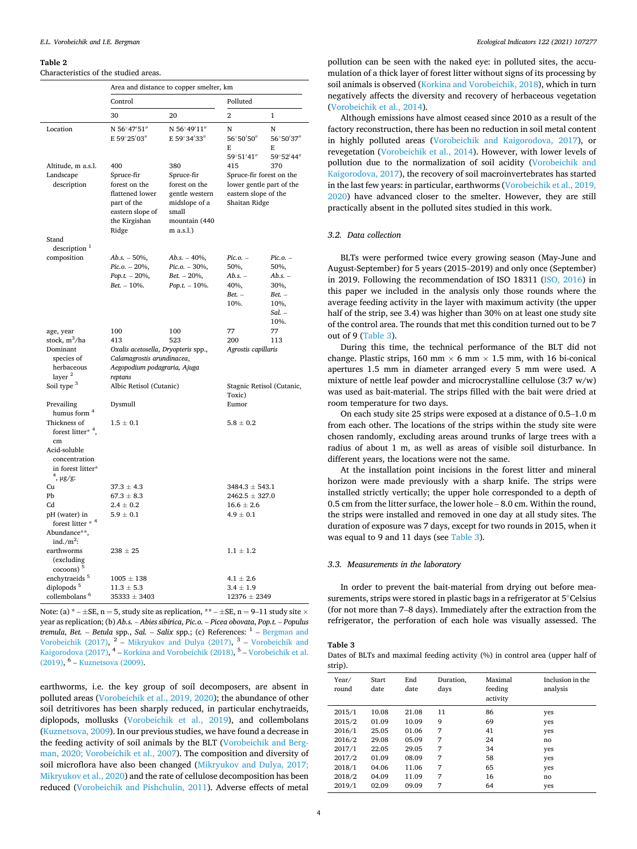#### <span id="page-3-0"></span>**Table 2**

#### Characteristics of the studied areas.

|                                                                                                                                                                   | Area and distance to copper smelter, km                                                                                                                                                                                            |                                                                        |                                                                                                             |                                                                                    |  |  |
|-------------------------------------------------------------------------------------------------------------------------------------------------------------------|------------------------------------------------------------------------------------------------------------------------------------------------------------------------------------------------------------------------------------|------------------------------------------------------------------------|-------------------------------------------------------------------------------------------------------------|------------------------------------------------------------------------------------|--|--|
|                                                                                                                                                                   | Control                                                                                                                                                                                                                            |                                                                        | Polluted                                                                                                    |                                                                                    |  |  |
|                                                                                                                                                                   | 30                                                                                                                                                                                                                                 | 20                                                                     | 2                                                                                                           | 1                                                                                  |  |  |
| Location                                                                                                                                                          | N 56°47'51"<br>E 59°25'03"                                                                                                                                                                                                         | N 56°49'11"<br>E 59°34'33"                                             | N<br>56°50'50"<br>E<br>59°51′41″                                                                            | N<br>56°50'37"<br>E<br>59°52'44"                                                   |  |  |
| Altitude, m a.s.l.<br>Landscape<br>description                                                                                                                    | 400<br>380<br>Spruce-fir<br>Spruce-fir<br>forest on the<br>forest on the<br>flattened lower<br>gentle western<br>part of the<br>midslope of a<br>eastern slope of<br>small<br>the Kirgishan<br>mountain (440<br>Ridge<br>m a.s.l.) |                                                                        | 415<br>370<br>Spruce-fir forest on the<br>lower gentle part of the<br>eastern slope of the<br>Shaitan Ridge |                                                                                    |  |  |
| Stand<br>description <sup>1</sup>                                                                                                                                 |                                                                                                                                                                                                                                    |                                                                        |                                                                                                             |                                                                                    |  |  |
| composition                                                                                                                                                       | $Ab.s. - 50\%,$<br>$Pic. o. - 20\%,$<br>$Pop.t. -20\%,$<br>$Bet. - 10%$ .                                                                                                                                                          | $Ab.s. - 40\%$ ,<br>Pic.o. - 30%,<br>$Bet. - 20\%,$<br>$Pop.t. -10\%.$ | Pic.o. –<br>50%,<br>Ab.s. –<br>40%,<br>$Bet. -$<br>10%.                                                     | $Pic.$ $o.$ $-$<br>50%,<br>$Ab.s. -$<br>30%,<br>$Bet. -$<br>10%,<br>Sal. –<br>10%. |  |  |
| age, year<br>stock, m <sup>3</sup> /ha<br>Dominant<br>species of<br>herbaceous<br>layer <sup>2</sup><br>Soil type <sup>3</sup>                                    | 100<br>413<br>Oxalis acetosella, Dryopteris spp.,<br>Calamagrostis arundinacea,<br>Aegopodium podagraria, Ajuga<br>reptans<br>Albic Retisol (Cutanic)                                                                              | 100<br>523                                                             | 77<br>77<br>200<br>113<br>Agrostis capillaris<br>Stagnic Retisol (Cutanic,                                  |                                                                                    |  |  |
| Prevailing                                                                                                                                                        | Dysmull                                                                                                                                                                                                                            |                                                                        | Toxic)<br>Eumor                                                                                             |                                                                                    |  |  |
| humus form <sup>4</sup><br>Thickness of<br>forest litter* <sup>4</sup> .<br>cm<br>Acid-soluble<br>concentration<br>in forest litter*<br><sup>4</sup> , $\mu$ g/g: | $1.5 \pm 0.1$                                                                                                                                                                                                                      |                                                                        | $5.8 \pm 0.2$                                                                                               |                                                                                    |  |  |
| Cu<br>Pb<br>Cd<br>pH (water) in<br>forest litter * 4<br>Abundance**,                                                                                              | $37.3 \pm 4.3$<br>$67.3 \pm 8.3$<br>$2.4 \pm 0.2$<br>$5.9 \pm 0.1$                                                                                                                                                                 |                                                                        | $3484.3 \pm 543.1$<br>$2462.5 \pm 327.0$<br>$16.6 \pm 2.6$<br>$4.9 \pm 0.1$                                 |                                                                                    |  |  |
| ind./ $m^2$ :<br>earthworms<br>(excluding<br>$\left(\frac{1}{2}\right)$                                                                                           | $238 \pm 25$                                                                                                                                                                                                                       |                                                                        | $1.1 \pm 1.2$                                                                                               |                                                                                    |  |  |
| enchytraeids <sup>5</sup><br>diplopods <sup>5</sup><br>collembolans <sup>6</sup>                                                                                  | $1005 \pm 138$<br>$11.3 \pm 5.3$<br>$35333 \pm 3403$                                                                                                                                                                               |                                                                        | $4.1 \pm 2.6$<br>$3.4 \pm 1.9$<br>$12376 \pm 2349$                                                          |                                                                                    |  |  |

Note: (a)  $*-\pm SE$ , n = 5, study site as replication,  $**-\pm SE$ , n = 9–11 study site  $\times$ year as replication; (b) *Ab.s.* – *Abies sibirica*, *Pic.o.* – *Picea obovata*, *Pop.t.* – *Populus tremula*, *Bet.* – *Betula* spp., *Sal.* – *Salix* spp.; (c) References: <sup>1</sup> – *Bergman and* [Vorobeichik \(2017\)](#page-9-0),  $2$  – [Mikryukov and Dulya \(2017\)](#page-9-0),  $3$  – Vorobeichik and [Kaigorodova \(2017\)](#page-9-0), <sup>4</sup> – [Korkina and Vorobeichik \(2018\)](#page-9-0), <sup>5</sup> – Vorobeichik et al. [\(2019\)](#page-9-0), 6 – [Kuznetsova \(2009\)](#page-9-0).

earthworms, i.e. the key group of soil decomposers, are absent in polluted areas [\(Vorobeichik et al., 2019, 2020\)](#page-9-0); the abundance of other soil detritivores has been sharply reduced, in particular enchytraeids, diplopods, mollusks [\(Vorobeichik et al., 2019](#page-9-0)), and collembolans ([Kuznetsova, 2009\)](#page-9-0). In our previous studies, we have found a decrease in the feeding activity of soil animals by the BLT ([Vorobeichik and Berg](#page-9-0)[man, 2020; Vorobeichik et al., 2007\)](#page-9-0). The composition and diversity of soil microflora have also been changed ([Mikryukov and Dulya, 2017;](#page-9-0)  [Mikryukov et al., 2020](#page-9-0)) and the rate of cellulose decomposition has been reduced ([Vorobeichik and Pishchulin, 2011\)](#page-9-0). Adverse effects of metal

pollution can be seen with the naked eye: in polluted sites, the accumulation of a thick layer of forest litter without signs of its processing by soil animals is observed ([Korkina and Vorobeichik, 2018](#page-9-0)), which in turn negatively affects the diversity and recovery of herbaceous vegetation ([Vorobeichik et al., 2014](#page-9-0)).

Although emissions have almost ceased since 2010 as a result of the factory reconstruction, there has been no reduction in soil metal content in highly polluted areas [\(Vorobeichik and Kaigorodova, 2017](#page-9-0)), or revegetation [\(Vorobeichik et al., 2014](#page-9-0)). However, with lower levels of pollution due to the normalization of soil acidity ([Vorobeichik and](#page-9-0)  [Kaigorodova, 2017](#page-9-0)), the recovery of soil macroinvertebrates has started in the last few years: in particular, earthworms [\(Vorobeichik et al., 2019,](#page-9-0)  [2020\)](#page-9-0) have advanced closer to the smelter. However, they are still practically absent in the polluted sites studied in this work.

### *3.2. Data collection*

BLTs were performed twice every growing season (May-June and August-September) for 5 years (2015–2019) and only once (September) in 2019. Following the recommendation of ISO 18311 ([ISO, 2016\)](#page-9-0) in this paper we included in the analysis only those rounds where the average feeding activity in the layer with maximum activity (the upper half of the strip, see 3.4) was higher than 30% on at least one study site of the control area. The rounds that met this condition turned out to be 7 out of 9 (Table 3).

During this time, the technical performance of the BLT did not change. Plastic strips, 160 mm  $\times$  6 mm  $\times$  1.5 mm, with 16 bi-conical apertures 1.5 mm in diameter arranged every 5 mm were used. A mixture of nettle leaf powder and microcrystalline cellulose (3:7 w/w) was used as bait-material. The strips filled with the bait were dried at room temperature for two days.

On each study site 25 strips were exposed at a distance of 0.5–1.0 m from each other. The locations of the strips within the study site were chosen randomly, excluding areas around trunks of large trees with a radius of about 1 m, as well as areas of visible soil disturbance. In different years, the locations were not the same.

At the installation point incisions in the forest litter and mineral horizon were made previously with a sharp knife. The strips were installed strictly vertically; the upper hole corresponded to a depth of 0.5 cm from the litter surface, the lower hole – 8.0 cm. Within the round, the strips were installed and removed in one day at all study sites. The duration of exposure was 7 days, except for two rounds in 2015, when it was equal to 9 and 11 days (see Table 3).

#### *3.3. Measurements in the laboratory*

In order to prevent the bait-material from drying out before measurements, strips were stored in plastic bags in a refrigerator at 5◦Celsius (for not more than 7–8 days). Immediately after the extraction from the refrigerator, the perforation of each hole was visually assessed. The

# **Table 3**

Dates of BLTs and maximal feeding activity (%) in control area (upper half of strip).

| Year/<br>round | Start<br>date | End<br>date | Duration.<br>days | Maximal<br>feeding<br>activity | Inclusion in the<br>analysis |
|----------------|---------------|-------------|-------------------|--------------------------------|------------------------------|
| 2015/1         | 10.08         | 21.08       | 11                | 86                             | yes                          |
| 2015/2         | 01.09         | 10.09       | 9                 | 69                             | yes                          |
| 2016/1         | 25.05         | 01.06       | 7                 | 41                             | yes                          |
| 2016/2         | 29.08         | 05.09       | 7                 | 24                             | no                           |
| 2017/1         | 22.05         | 29.05       | 7                 | 34                             | yes                          |
| 2017/2         | 01.09         | 08.09       | 7                 | 58                             | yes                          |
| 2018/1         | 04.06         | 11.06       | 7                 | 65                             | yes                          |
| 2018/2         | 04.09         | 11.09       | 7                 | 16                             | no                           |
| 2019/1         | 02.09         | 09.09       | 7                 | 64                             | yes                          |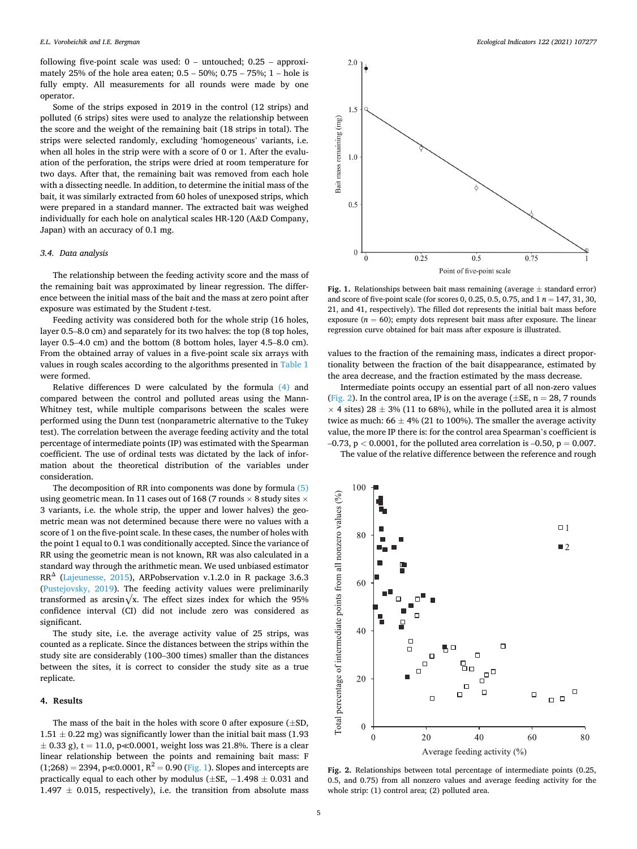<span id="page-4-0"></span>following five-point scale was used:  $0 -$  untouched;  $0.25 -$  approximately 25% of the hole area eaten; 0.5 – 50%; 0.75 – 75%; 1 – hole is fully empty. All measurements for all rounds were made by one operator.

Some of the strips exposed in 2019 in the control (12 strips) and polluted (6 strips) sites were used to analyze the relationship between the score and the weight of the remaining bait (18 strips in total). The strips were selected randomly, excluding 'homogeneous' variants, i.e. when all holes in the strip were with a score of 0 or 1. After the evaluation of the perforation, the strips were dried at room temperature for two days. After that, the remaining bait was removed from each hole with a dissecting needle. In addition, to determine the initial mass of the bait, it was similarly extracted from 60 holes of unexposed strips, which were prepared in a standard manner. The extracted bait was weighed individually for each hole on analytical scales HR-120 (A&D Company, Japan) with an accuracy of 0.1 mg.

#### *3.4. Data analysis*

The relationship between the feeding activity score and the mass of the remaining bait was approximated by linear regression. The difference between the initial mass of the bait and the mass at zero point after exposure was estimated by the Student *t*-test.

Feeding activity was considered both for the whole strip (16 holes, layer 0.5–8.0 cm) and separately for its two halves: the top (8 top holes, layer 0.5–4.0 cm) and the bottom (8 bottom holes, layer 4.5–8.0 cm). From the obtained array of values in a five-point scale six arrays with values in rough scales according to the algorithms presented in [Table 1](#page-2-0)  were formed.

Relative differences D were calculated by the formula [\(4\)](#page-2-0) and compared between the control and polluted areas using the Mann-Whitney test, while multiple comparisons between the scales were performed using the Dunn test (nonparametric alternative to the Tukey test). The correlation between the average feeding activity and the total percentage of intermediate points (IP) was estimated with the Spearman coefficient. The use of ordinal tests was dictated by the lack of information about the theoretical distribution of the variables under consideration.

The decomposition of RR into components was done by formula [\(5\)](#page-2-0)  using geometric mean. In 11 cases out of 168 (7 rounds  $\times$  8 study sites  $\times$ 3 variants, i.e. the whole strip, the upper and lower halves) the geometric mean was not determined because there were no values with a score of 1 on the five-point scale. In these cases, the number of holes with the point 1 equal to 0.1 was conditionally accepted. Since the variance of RR using the geometric mean is not known, RR was also calculated in a standard way through the arithmetic mean. We used unbiased estimator RR<sup>Δ</sup> [\(Lajeunesse, 2015\)](#page-9-0), ARPobservation v.1.2.0 in R package 3.6.3 ([Pustejovsky, 2019\)](#page-9-0). The feeding activity values were preliminarily transformed as arcsin $\sqrt{x}$ . The effect sizes index for which the 95% confidence interval (CI) did not include zero was considered as significant.

The study site, i.e. the average activity value of 25 strips, was counted as a replicate. Since the distances between the strips within the study site are considerably (100–300 times) smaller than the distances between the sites, it is correct to consider the study site as a true replicate.

#### **4. Results**

The mass of the bait in the holes with score 0 after exposure  $(\pm SD,$  $1.51\pm0.22$  mg) was significantly lower than the initial bait mass (1.93  $\pm$  0.33 g), t = 11.0, p $\ll$ 0.0001, weight loss was 21.8%. There is a clear linear relationship between the points and remaining bait mass: F  $(1;268) = 2394$ , p $\ll 0.0001$ ,  $R^2 = 0.90$  (Fig. 1). Slopes and intercepts are practically equal to each other by modulus ( $\pm$ SE,  $-1.498 \pm 0.031$  and  $1.497 \pm 0.015$ , respectively), i.e. the transition from absolute mass



Fig. 1. Relationships between bait mass remaining (average  $\pm$  standard error) and score of five-point scale (for scores 0, 0.25, 0.5, 0.75, and 1 *n* = 147, 31, 30, 21, and 41, respectively). The filled dot represents the initial bait mass before exposure  $(n = 60)$ ; empty dots represent bait mass after exposure. The linear regression curve obtained for bait mass after exposure is illustrated.

values to the fraction of the remaining mass, indicates a direct proportionality between the fraction of the bait disappearance, estimated by the area decrease, and the fraction estimated by the mass decrease.

Intermediate points occupy an essential part of all non-zero values (Fig. 2). In the control area, IP is on the average ( $\pm$ SE, n = 28, 7 rounds  $\times$  4 sites) 28  $\pm$  3% (11 to 68%), while in the polluted area it is almost twice as much:  $66 \pm 4\%$  (21 to 100%). The smaller the average activity value, the more IP there is: for the control area Spearman's coefficient is  $-0.73$ ,  $p < 0.0001$ , for the polluted area correlation is  $-0.50$ ,  $p = 0.007$ .

The value of the relative difference between the reference and rough



**Fig. 2.** Relationships between total percentage of intermediate points (0.25, 0.5, and 0.75) from all nonzero values and average feeding activity for the whole strip: (1) control area; (2) polluted area.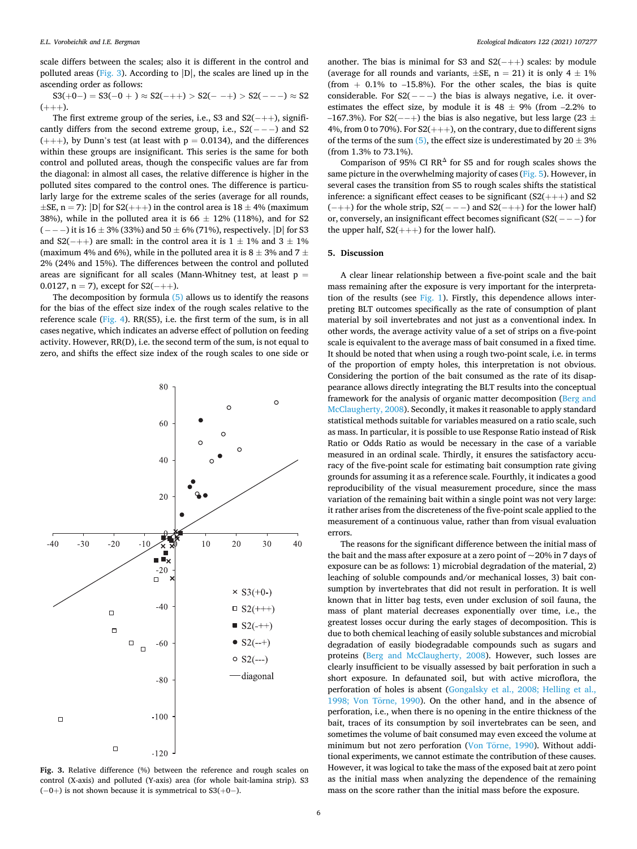<span id="page-5-0"></span>scale differs between the scales; also it is different in the control and polluted areas (Fig. 3). According to  $|D|$ , the scales are lined up in the ascending order as follows:

$$
S3(+0-) = S3(-0+) \approx S2(-++) > S2(--+) > S2(---) \approx S2
$$
  
(+++).

The first extreme group of the series, i.e., S3 and  $S2(-++)$ , significantly differs from the second extreme group, i.e.,  $S2(- - -)$  and S2  $(++)$ , by Dunn's test (at least with  $p = 0.0134$ ), and the differences within these groups are insignificant. This series is the same for both control and polluted areas, though the conspecific values are far from the diagonal: in almost all cases, the relative difference is higher in the polluted sites compared to the control ones. The difference is particularly large for the extreme scales of the series (average for all rounds,  $\pm$ SE, n = 7): |D| for S2(+++) in the control area is 18  $\pm$  4% (maximum 38%), while in the polluted area it is 66  $\pm$  12% (118%), and for S2 (---) it is  $16 \pm 3\%$  (33%) and  $50 \pm 6\%$  (71%), respectively. |D| for S3 and S2(-++) are small: in the control area it is  $1 \pm 1\%$  and  $3 \pm 1\%$ (maximum 4% and 6%), while in the polluted area it is  $8 \pm 3$ % and  $7 \pm 1$ 2% (24% and 15%). The differences between the control and polluted areas are significant for all scales (Mann-Whitney test, at least  $p =$ 0.0127, n = 7), except for  $S2(-++)$ .

The decomposition by formula [\(5\)](#page-2-0) allows us to identify the reasons for the bias of the effect size index of the rough scales relative to the reference scale [\(Fig. 4\)](#page-6-0). RR(S5), i.e. the first term of the sum, is in all cases negative, which indicates an adverse effect of pollution on feeding activity. However, RR(D), i.e. the second term of the sum, is not equal to zero, and shifts the effect size index of the rough scales to one side or



**Fig. 3.** Relative difference (%) between the reference and rough scales on control (X-axis) and polluted (Y-axis) area (for whole bait-lamina strip). S3  $(-0+)$  is not shown because it is symmetrical to S3(+0−).

another. The bias is minimal for S3 and  $S2(-++)$  scales: by module (average for all rounds and variants,  $\pm$ SE, n = 21) it is only 4  $\pm$  1% (from  $+$  0.1% to  $-15.8%$ ). For the other scales, the bias is quite considerable. For  $S2(--)$  the bias is always negative, i.e. it overestimates the effect size, by module it is  $48 \pm 9\%$  (from -2.2% to –167.3%). For S2(--+) the bias is also negative, but less large (23  $\pm$ 4%, from 0 to 70%). For  $S2(++)$ , on the contrary, due to different signs of the terms of the sum [\(5\),](#page-2-0) the effect size is underestimated by  $20 \pm 3\%$ (from 1.3% to 73.1%).

Comparison of 95% CI RR<sup> $\triangle$ </sup> for S5 and for rough scales shows the same picture in the overwhelming majority of cases [\(Fig. 5](#page-7-0)). However, in several cases the transition from S5 to rough scales shifts the statistical inference: a significant effect ceases to be significant (S2(+++) and S2  $(-++)$  for the whole strip,  $S2(-)$  –  $-)$  and  $S2(-++)$  for the lower half) or, conversely, an insignificant effect becomes significant (S2(− − − ) for the upper half,  $S2(++)$  for the lower half).

# **5. Discussion**

A clear linear relationship between a five-point scale and the bait mass remaining after the exposure is very important for the interpretation of the results (see [Fig. 1](#page-4-0)). Firstly, this dependence allows interpreting BLT outcomes specifically as the rate of consumption of plant material by soil invertebrates and not just as a conventional index. In other words, the average activity value of a set of strips on a five-point scale is equivalent to the average mass of bait consumed in a fixed time. It should be noted that when using a rough two-point scale, i.e. in terms of the proportion of empty holes, this interpretation is not obvious. Considering the portion of the bait consumed as the rate of its disappearance allows directly integrating the BLT results into the conceptual framework for the analysis of organic matter decomposition ([Berg and](#page-8-0)  [McClaugherty, 2008\)](#page-8-0). Secondly, it makes it reasonable to apply standard statistical methods suitable for variables measured on a ratio scale, such as mass. In particular, it is possible to use Response Ratio instead of Risk Ratio or Odds Ratio as would be necessary in the case of a variable measured in an ordinal scale. Thirdly, it ensures the satisfactory accuracy of the five-point scale for estimating bait consumption rate giving grounds for assuming it as a reference scale. Fourthly, it indicates a good reproducibility of the visual measurement procedure, since the mass variation of the remaining bait within a single point was not very large: it rather arises from the discreteness of the five-point scale applied to the measurement of a continuous value, rather than from visual evaluation errors.

The reasons for the significant difference between the initial mass of the bait and the mass after exposure at a zero point of  $\sim$  20% in 7 days of exposure can be as follows: 1) microbial degradation of the material, 2) leaching of soluble compounds and/or mechanical losses, 3) bait consumption by invertebrates that did not result in perforation. It is well known that in litter bag tests, even under exclusion of soil fauna, the mass of plant material decreases exponentially over time, i.e., the greatest losses occur during the early stages of decomposition. This is due to both chemical leaching of easily soluble substances and microbial degradation of easily biodegradable compounds such as sugars and proteins ([Berg and McClaugherty, 2008](#page-8-0)). However, such losses are clearly insufficient to be visually assessed by bait perforation in such a short exposure. In defaunated soil, but with active microflora, the perforation of holes is absent ([Gongalsky et al., 2008; Helling et al.,](#page-9-0)  1998; Von Törne, 1990). On the other hand, and in the absence of perforation, i.e., when there is no opening in the entire thickness of the bait, traces of its consumption by soil invertebrates can be seen, and sometimes the volume of bait consumed may even exceed the volume at minimum but not zero perforation (Von Törne, 1990). Without additional experiments, we cannot estimate the contribution of these causes. However, it was logical to take the mass of the exposed bait at zero point as the initial mass when analyzing the dependence of the remaining mass on the score rather than the initial mass before the exposure.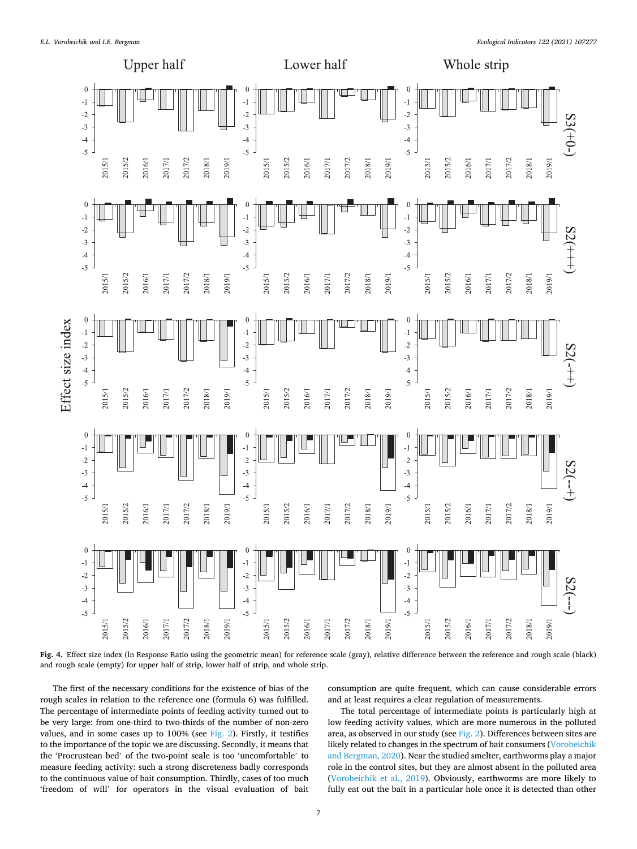<span id="page-6-0"></span>

**Fig. 4.** Effect size index (ln Response Ratio using the geometric mean) for reference scale (gray), relative difference between the reference and rough scale (black) and rough scale (empty) for upper half of strip, lower half of strip, and whole strip.

The first of the necessary conditions for the existence of bias of the rough scales in relation to the reference one (formula 6) was fulfilled. The percentage of intermediate points of feeding activity turned out to be very large: from one-third to two-thirds of the number of non-zero values, and in some cases up to 100% (see [Fig. 2](#page-4-0)). Firstly, it testifies to the importance of the topic we are discussing. Secondly, it means that the 'Procrustean bed' of the two-point scale is too 'uncomfortable' to measure feeding activity: such a strong discreteness badly corresponds to the continuous value of bait consumption. Thirdly, cases of too much 'freedom of will' for operators in the visual evaluation of bait

consumption are quite frequent, which can cause considerable errors and at least requires a clear regulation of measurements.

The total percentage of intermediate points is particularly high at low feeding activity values, which are more numerous in the polluted area, as observed in our study (see [Fig. 2\)](#page-4-0). Differences between sites are likely related to changes in the spectrum of bait consumers ([Vorobeichik](#page-9-0)  [and Bergman, 2020\)](#page-9-0). Near the studied smelter, earthworms play a major role in the control sites, but they are almost absent in the polluted area ([Vorobeichik et al., 2019\)](#page-9-0). Obviously, earthworms are more likely to fully eat out the bait in a particular hole once it is detected than other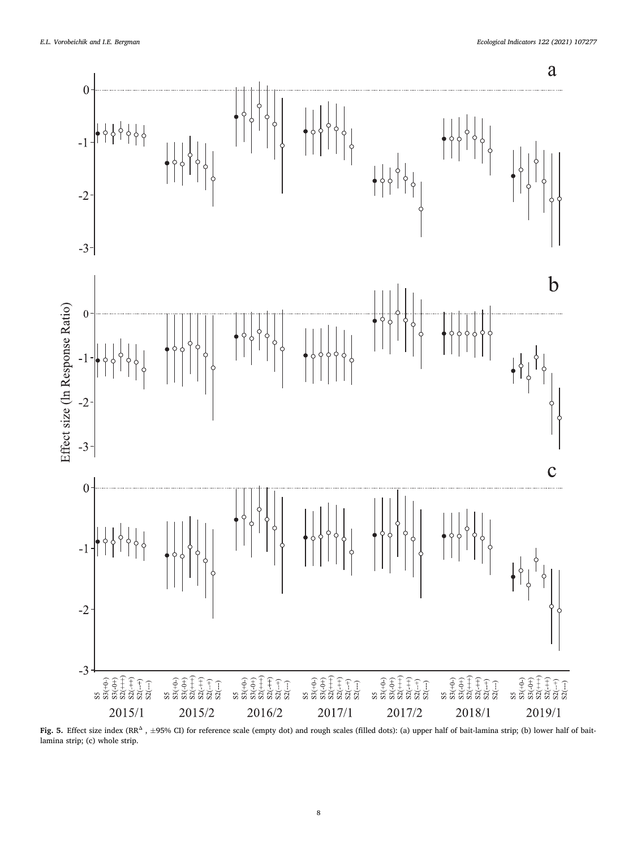<span id="page-7-0"></span>

Fig. 5. Effect size index (RR<sup>Δ</sup>, ±95% CI) for reference scale (empty dot) and rough scales (filled dots): (a) upper half of bait-lamina strip; (b) lower half of baitlamina strip; (c) whole strip.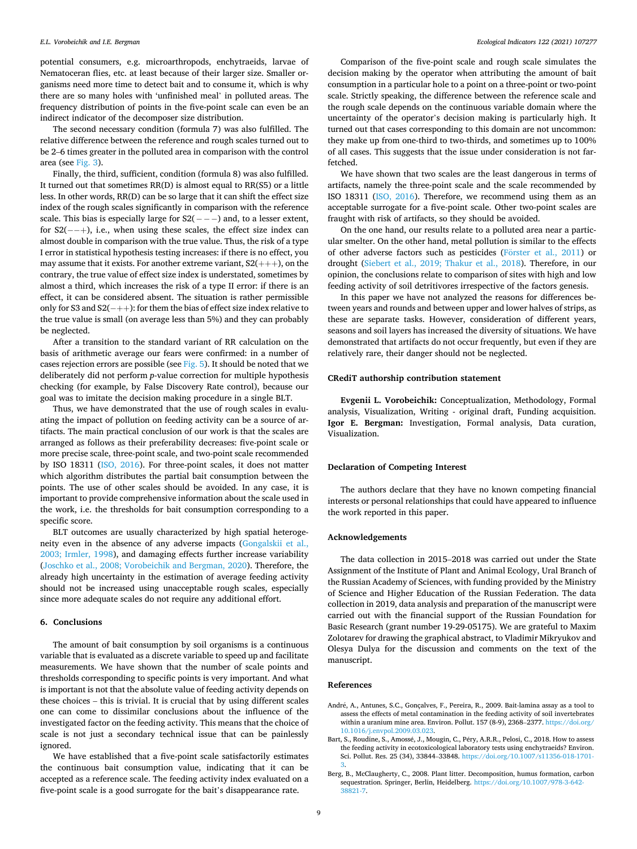<span id="page-8-0"></span>potential consumers, e.g. microarthropods, enchytraeids, larvae of Nematoceran flies, etc. at least because of their larger size. Smaller organisms need more time to detect bait and to consume it, which is why there are so many holes with 'unfinished meal' in polluted areas. The frequency distribution of points in the five-point scale can even be an indirect indicator of the decomposer size distribution.

The second necessary condition (formula 7) was also fulfilled. The relative difference between the reference and rough scales turned out to be 2–6 times greater in the polluted area in comparison with the control area (see [Fig. 3\)](#page-5-0).

Finally, the third, sufficient, condition (formula 8) was also fulfilled. It turned out that sometimes RR(D) is almost equal to RR(S5) or a little less. In other words, RR(D) can be so large that it can shift the effect size index of the rough scales significantly in comparison with the reference scale. This bias is especially large for  $S2(- - -)$  and, to a lesser extent, for  $S2(-+)$ , i.e., when using these scales, the effect size index can almost double in comparison with the true value. Thus, the risk of a type I error in statistical hypothesis testing increases: if there is no effect, you may assume that it exists. For another extreme variant,  $S2(++)$ , on the contrary, the true value of effect size index is understated, sometimes by almost a third, which increases the risk of a type II error: if there is an effect, it can be considered absent. The situation is rather permissible only for S3 and S2(− ++): for them the bias of effect size index relative to the true value is small (on average less than 5%) and they can probably be neglected.

After a transition to the standard variant of RR calculation on the basis of arithmetic average our fears were confirmed: in a number of cases rejection errors are possible (see  $Fig. 5$ ). It should be noted that we deliberately did not perform *p*-value correction for multiple hypothesis checking (for example, by False Discovery Rate control), because our goal was to imitate the decision making procedure in a single BLT.

Thus, we have demonstrated that the use of rough scales in evaluating the impact of pollution on feeding activity can be a source of artifacts. The main practical conclusion of our work is that the scales are arranged as follows as their preferability decreases: five-point scale or more precise scale, three-point scale, and two-point scale recommended by ISO 18311 [\(ISO, 2016\)](#page-9-0). For three-point scales, it does not matter which algorithm distributes the partial bait consumption between the points. The use of other scales should be avoided. In any case, it is important to provide comprehensive information about the scale used in the work, i.e. the thresholds for bait consumption corresponding to a specific score.

BLT outcomes are usually characterized by high spatial heterogeneity even in the absence of any adverse impacts ([Gongalskii et al.,](#page-9-0)  [2003; Irmler, 1998\)](#page-9-0), and damaging effects further increase variability ([Joschko et al., 2008; Vorobeichik and Bergman, 2020\)](#page-9-0). Therefore, the already high uncertainty in the estimation of average feeding activity should not be increased using unacceptable rough scales, especially since more adequate scales do not require any additional effort.

# **6. Conclusions**

The amount of bait consumption by soil organisms is a continuous variable that is evaluated as a discrete variable to speed up and facilitate measurements. We have shown that the number of scale points and thresholds corresponding to specific points is very important. And what is important is not that the absolute value of feeding activity depends on these choices – this is trivial. It is crucial that by using different scales one can come to dissimilar conclusions about the influence of the investigated factor on the feeding activity. This means that the choice of scale is not just a secondary technical issue that can be painlessly ignored.

We have established that a five-point scale satisfactorily estimates the continuous bait consumption value, indicating that it can be accepted as a reference scale. The feeding activity index evaluated on a five-point scale is a good surrogate for the bait's disappearance rate.

Comparison of the five-point scale and rough scale simulates the decision making by the operator when attributing the amount of bait consumption in a particular hole to a point on a three-point or two-point scale. Strictly speaking, the difference between the reference scale and the rough scale depends on the continuous variable domain where the uncertainty of the operator's decision making is particularly high. It turned out that cases corresponding to this domain are not uncommon: they make up from one-third to two-thirds, and sometimes up to 100% of all cases. This suggests that the issue under consideration is not farfetched.

We have shown that two scales are the least dangerous in terms of artifacts, namely the three-point scale and the scale recommended by ISO 18311 [\(ISO, 2016\)](#page-9-0). Therefore, we recommend using them as an acceptable surrogate for a five-point scale. Other two-point scales are fraught with risk of artifacts, so they should be avoided.

On the one hand, our results relate to a polluted area near a particular smelter. On the other hand, metal pollution is similar to the effects of other adverse factors such as pesticides (Förster [et al., 2011](#page-9-0)) or drought ([Siebert et al., 2019; Thakur et al., 2018](#page-9-0)). Therefore, in our opinion, the conclusions relate to comparison of sites with high and low feeding activity of soil detritivores irrespective of the factors genesis.

In this paper we have not analyzed the reasons for differences between years and rounds and between upper and lower halves of strips, as these are separate tasks. However, consideration of different years, seasons and soil layers has increased the diversity of situations. We have demonstrated that artifacts do not occur frequently, but even if they are relatively rare, their danger should not be neglected.

# **CRediT authorship contribution statement**

**Evgenii L. Vorobeichik:** Conceptualization, Methodology, Formal analysis, Visualization, Writing - original draft, Funding acquisition. **Igor E. Bergman:** Investigation, Formal analysis, Data curation, Visualization.

### **Declaration of Competing Interest**

The authors declare that they have no known competing financial interests or personal relationships that could have appeared to influence the work reported in this paper.

# **Acknowledgements**

The data collection in 2015–2018 was carried out under the State Assignment of the Institute of Plant and Animal Ecology, Ural Branch of the Russian Academy of Sciences, with funding provided by the Ministry of Science and Higher Education of the Russian Federation. The data collection in 2019, data analysis and preparation of the manuscript were carried out with the financial support of the Russian Foundation for Basic Research (grant number 19-29-05175). We are grateful to Maxim Zolotarev for drawing the graphical abstract, to Vladimir Mikryukov and Olesya Dulya for the discussion and comments on the text of the manuscript.

#### **References**

- André, A., Antunes, S.C., Gonçalves, F., Pereira, R., 2009. Bait-lamina assay as a tool to assess the effects of metal contamination in the feeding activity of soil invertebrates within a uranium mine area. Environ. Pollut. 157 (8-9), 2368–2377. https://doi.org/ [10.1016/j.envpol.2009.03.023](https://doi.org/10.1016/j.envpol.2009.03.023).
- Bart, S., Roudine, S., Amossé, J., Mougin, C., Péry, A.R.R., Pelosi, C., 2018. How to assess the feeding activity in ecotoxicological laboratory tests using enchytraeids? Environ. Sci. Pollut. Res. 25 (34), 33844–33848. [https://doi.org/10.1007/s11356-018-1701-](https://doi.org/10.1007/s11356-018-1701-3)
- [3](https://doi.org/10.1007/s11356-018-1701-3). Berg, B., McClaugherty, C., 2008. Plant litter. Decomposition, humus formation, carbon sequestration. Springer, Berlin, Heidelberg. [https://doi.org/10.1007/978-3-642-](https://doi.org/10.1007/978-3-642-38821-7)  [38821-7](https://doi.org/10.1007/978-3-642-38821-7).